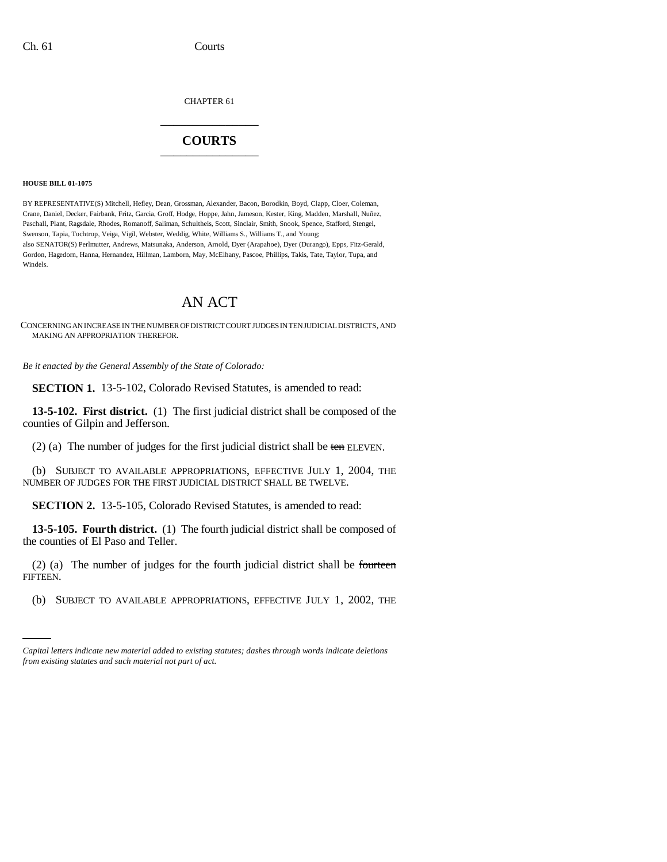CHAPTER 61 \_\_\_\_\_\_\_\_\_\_\_\_\_\_\_

## **COURTS** \_\_\_\_\_\_\_\_\_\_\_\_\_\_\_

## **HOUSE BILL 01-1075**

BY REPRESENTATIVE(S) Mitchell, Hefley, Dean, Grossman, Alexander, Bacon, Borodkin, Boyd, Clapp, Cloer, Coleman, Crane, Daniel, Decker, Fairbank, Fritz, Garcia, Groff, Hodge, Hoppe, Jahn, Jameson, Kester, King, Madden, Marshall, Nuñez, Paschall, Plant, Ragsdale, Rhodes, Romanoff, Saliman, Schultheis, Scott, Sinclair, Smith, Snook, Spence, Stafford, Stengel, Swenson, Tapia, Tochtrop, Veiga, Vigil, Webster, Weddig, White, Williams S., Williams T., and Young; also SENATOR(S) Perlmutter, Andrews, Matsunaka, Anderson, Arnold, Dyer (Arapahoe), Dyer (Durango), Epps, Fitz-Gerald, Gordon, Hagedorn, Hanna, Hernandez, Hillman, Lamborn, May, McElhany, Pascoe, Phillips, Takis, Tate, Taylor, Tupa, and Windels.

## AN ACT

CONCERNING AN INCREASE IN THE NUMBER OF DISTRICT COURT JUDGES IN TEN JUDICIAL DISTRICTS, AND MAKING AN APPROPRIATION THEREFOR.

*Be it enacted by the General Assembly of the State of Colorado:*

**SECTION 1.** 13-5-102, Colorado Revised Statutes, is amended to read:

**13-5-102. First district.** (1) The first judicial district shall be composed of the counties of Gilpin and Jefferson.

(2) (a) The number of judges for the first judicial district shall be ten ELEVEN.

(b) SUBJECT TO AVAILABLE APPROPRIATIONS, EFFECTIVE JULY 1, 2004, THE NUMBER OF JUDGES FOR THE FIRST JUDICIAL DISTRICT SHALL BE TWELVE.

**SECTION 2.** 13-5-105, Colorado Revised Statutes, is amended to read:

**13-5-105. Fourth district.** (1) The fourth judicial district shall be composed of the counties of El Paso and Teller.

FIFTEEN. (2) (a) The number of judges for the fourth judicial district shall be fourteen

(b) SUBJECT TO AVAILABLE APPROPRIATIONS, EFFECTIVE JULY 1, 2002, THE

*Capital letters indicate new material added to existing statutes; dashes through words indicate deletions from existing statutes and such material not part of act.*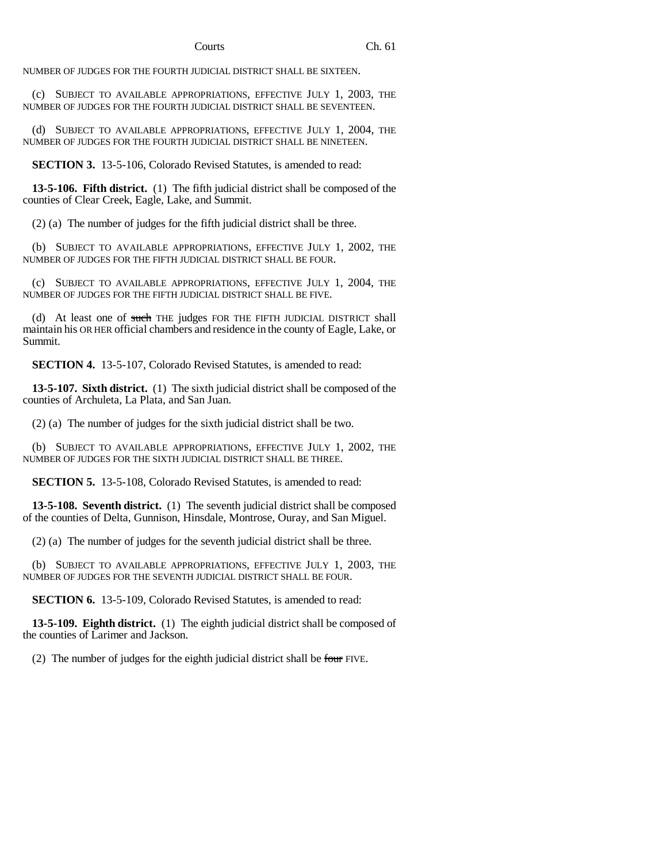NUMBER OF JUDGES FOR THE FOURTH JUDICIAL DISTRICT SHALL BE SIXTEEN.

(c) SUBJECT TO AVAILABLE APPROPRIATIONS, EFFECTIVE JULY 1, 2003, THE NUMBER OF JUDGES FOR THE FOURTH JUDICIAL DISTRICT SHALL BE SEVENTEEN.

(d) SUBJECT TO AVAILABLE APPROPRIATIONS, EFFECTIVE JULY 1, 2004, THE NUMBER OF JUDGES FOR THE FOURTH JUDICIAL DISTRICT SHALL BE NINETEEN.

**SECTION 3.** 13-5-106, Colorado Revised Statutes, is amended to read:

**13-5-106. Fifth district.** (1) The fifth judicial district shall be composed of the counties of Clear Creek, Eagle, Lake, and Summit.

(2) (a) The number of judges for the fifth judicial district shall be three.

(b) SUBJECT TO AVAILABLE APPROPRIATIONS, EFFECTIVE JULY 1, 2002, THE NUMBER OF JUDGES FOR THE FIFTH JUDICIAL DISTRICT SHALL BE FOUR.

(c) SUBJECT TO AVAILABLE APPROPRIATIONS, EFFECTIVE JULY 1, 2004, THE NUMBER OF JUDGES FOR THE FIFTH JUDICIAL DISTRICT SHALL BE FIVE.

(d) At least one of such THE judges FOR THE FIFTH JUDICIAL DISTRICT shall maintain his OR HER official chambers and residence in the county of Eagle, Lake, or Summit.

**SECTION 4.** 13-5-107, Colorado Revised Statutes, is amended to read:

**13-5-107. Sixth district.** (1) The sixth judicial district shall be composed of the counties of Archuleta, La Plata, and San Juan.

(2) (a) The number of judges for the sixth judicial district shall be two.

(b) SUBJECT TO AVAILABLE APPROPRIATIONS, EFFECTIVE JULY 1, 2002, THE NUMBER OF JUDGES FOR THE SIXTH JUDICIAL DISTRICT SHALL BE THREE.

**SECTION 5.** 13-5-108, Colorado Revised Statutes, is amended to read:

**13-5-108. Seventh district.** (1) The seventh judicial district shall be composed of the counties of Delta, Gunnison, Hinsdale, Montrose, Ouray, and San Miguel.

(2) (a) The number of judges for the seventh judicial district shall be three.

(b) SUBJECT TO AVAILABLE APPROPRIATIONS, EFFECTIVE JULY 1, 2003, THE NUMBER OF JUDGES FOR THE SEVENTH JUDICIAL DISTRICT SHALL BE FOUR.

**SECTION 6.** 13-5-109, Colorado Revised Statutes, is amended to read:

**13-5-109. Eighth district.** (1) The eighth judicial district shall be composed of the counties of Larimer and Jackson.

(2) The number of judges for the eighth judicial district shall be four FIVE.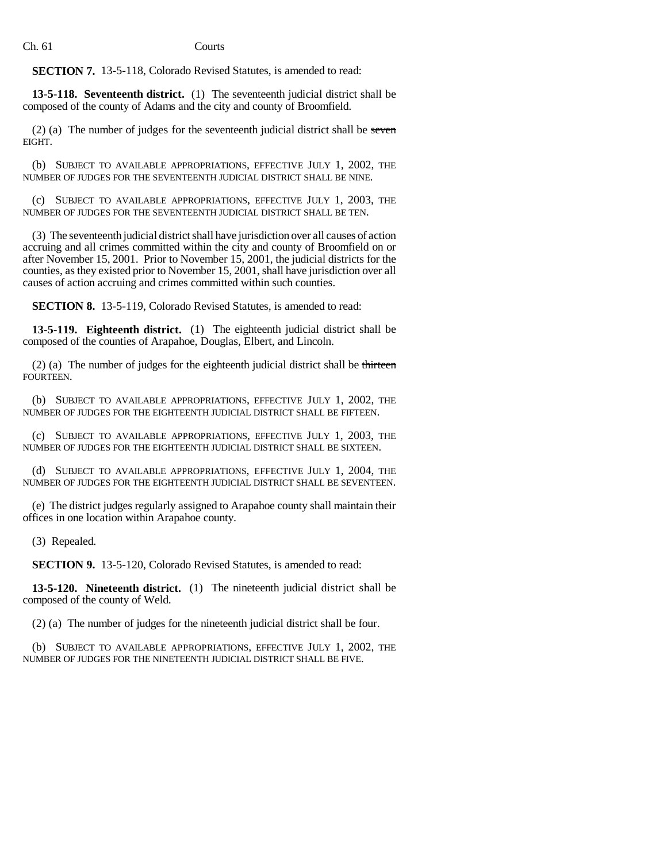**SECTION 7.** 13-5-118, Colorado Revised Statutes, is amended to read:

**13-5-118. Seventeenth district.** (1) The seventeenth judicial district shall be composed of the county of Adams and the city and county of Broomfield.

(2) (a) The number of judges for the seventeenth judicial district shall be seven EIGHT.

(b) SUBJECT TO AVAILABLE APPROPRIATIONS, EFFECTIVE JULY 1, 2002, THE NUMBER OF JUDGES FOR THE SEVENTEENTH JUDICIAL DISTRICT SHALL BE NINE.

(c) SUBJECT TO AVAILABLE APPROPRIATIONS, EFFECTIVE JULY 1, 2003, THE NUMBER OF JUDGES FOR THE SEVENTEENTH JUDICIAL DISTRICT SHALL BE TEN.

(3) The seventeenth judicial district shall have jurisdiction over all causes of action accruing and all crimes committed within the city and county of Broomfield on or after November 15, 2001. Prior to November 15, 2001, the judicial districts for the counties, as they existed prior to November 15, 2001, shall have jurisdiction over all causes of action accruing and crimes committed within such counties.

**SECTION 8.** 13-5-119, Colorado Revised Statutes, is amended to read:

**13-5-119. Eighteenth district.** (1) The eighteenth judicial district shall be composed of the counties of Arapahoe, Douglas, Elbert, and Lincoln.

(2) (a) The number of judges for the eighteenth judicial district shall be thirteen FOURTEEN.

(b) SUBJECT TO AVAILABLE APPROPRIATIONS, EFFECTIVE JULY 1, 2002, THE NUMBER OF JUDGES FOR THE EIGHTEENTH JUDICIAL DISTRICT SHALL BE FIFTEEN.

(c) SUBJECT TO AVAILABLE APPROPRIATIONS, EFFECTIVE JULY 1, 2003, THE NUMBER OF JUDGES FOR THE EIGHTEENTH JUDICIAL DISTRICT SHALL BE SIXTEEN.

(d) SUBJECT TO AVAILABLE APPROPRIATIONS, EFFECTIVE JULY 1, 2004, THE NUMBER OF JUDGES FOR THE EIGHTEENTH JUDICIAL DISTRICT SHALL BE SEVENTEEN.

(e) The district judges regularly assigned to Arapahoe county shall maintain their offices in one location within Arapahoe county.

(3) Repealed.

**SECTION 9.** 13-5-120, Colorado Revised Statutes, is amended to read:

**13-5-120. Nineteenth district.** (1) The nineteenth judicial district shall be composed of the county of Weld.

(2) (a) The number of judges for the nineteenth judicial district shall be four.

(b) SUBJECT TO AVAILABLE APPROPRIATIONS, EFFECTIVE JULY 1, 2002, THE NUMBER OF JUDGES FOR THE NINETEENTH JUDICIAL DISTRICT SHALL BE FIVE.